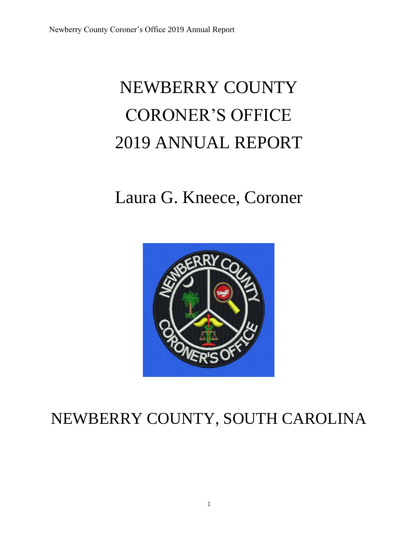# NEWBERRY COUNTY CORONER'S OFFICE 2019 ANNUAL REPORT

# Laura G. Kneece, Coroner



## NEWBERRY COUNTY, SOUTH CAROLINA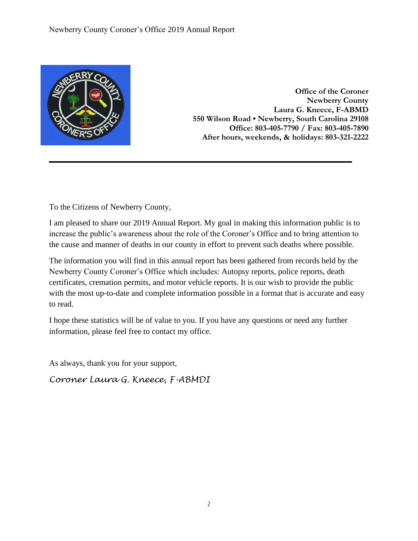

**Office of the Coroner Newberry County Laura G. Kneece, F-ABMD 550 Wilson Road • Newberry, South Carolina 29108 Office: 803-405-7790 / Fax: 803-405-7890 After hours, weekends, & holidays: 803-321-2222**

To the Citizens of Newberry County,

I am pleased to share our 2019 Annual Report. My goal in making this information public is to increase the public's awareness about the role of the Coroner's Office and to bring attention to the cause and manner of deaths in our county in effort to prevent such deaths where possible.

The information you will find in this annual report has been gathered from records held by the Newberry County Coroner's Office which includes: Autopsy reports, police reports, death certificates, cremation permits, and motor vehicle reports. It is our wish to provide the public with the most up-to-date and complete information possible in a format that is accurate and easy to read.

I hope these statistics will be of value to you. If you have any questions or need any further information, please feel free to contact my office.

As always, thank you for your support,

*Coroner Laura G. Kneece, F-ABMDI*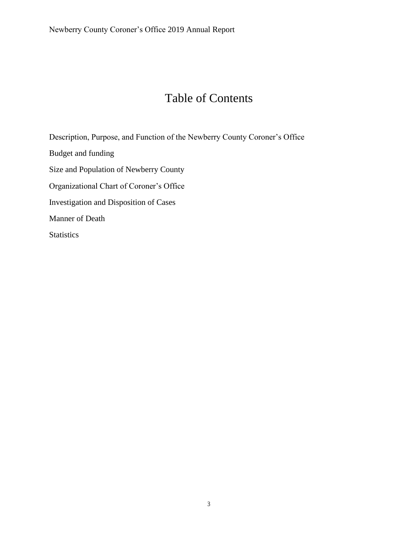### Table of Contents

Description, Purpose, and Function of the Newberry County Coroner's Office Budget and funding Size and Population of Newberry County Organizational Chart of Coroner's Office Investigation and Disposition of Cases Manner of Death **Statistics**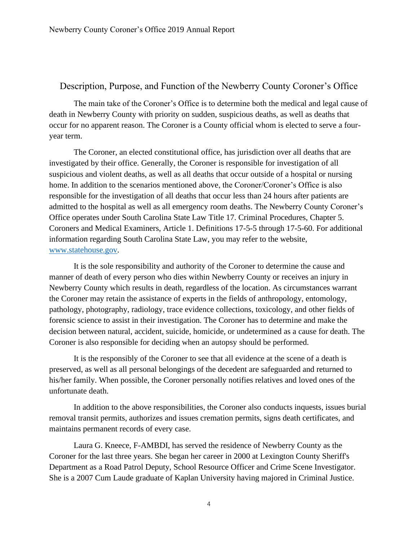#### Description, Purpose, and Function of the Newberry County Coroner's Office

The main take of the Coroner's Office is to determine both the medical and legal cause of death in Newberry County with priority on sudden, suspicious deaths, as well as deaths that occur for no apparent reason. The Coroner is a County official whom is elected to serve a fouryear term.

The Coroner, an elected constitutional office, has jurisdiction over all deaths that are investigated by their office. Generally, the Coroner is responsible for investigation of all suspicious and violent deaths, as well as all deaths that occur outside of a hospital or nursing home. In addition to the scenarios mentioned above, the Coroner/Coroner's Office is also responsible for the investigation of all deaths that occur less than 24 hours after patients are admitted to the hospital as well as all emergency room deaths. The Newberry County Coroner's Office operates under South Carolina State Law Title 17. Criminal Procedures, Chapter 5. Coroners and Medical Examiners, Article 1. Definitions 17-5-5 through 17-5-60. For additional information regarding South Carolina State Law, you may refer to the website, [www.statehouse.gov.](http://www.statehouse.gov/)

It is the sole responsibility and authority of the Coroner to determine the cause and manner of death of every person who dies within Newberry County or receives an injury in Newberry County which results in death, regardless of the location. As circumstances warrant the Coroner may retain the assistance of experts in the fields of anthropology, entomology, pathology, photography, radiology, trace evidence collections, toxicology, and other fields of forensic science to assist in their investigation. The Coroner has to determine and make the decision between natural, accident, suicide, homicide, or undetermined as a cause for death. The Coroner is also responsible for deciding when an autopsy should be performed.

It is the responsibly of the Coroner to see that all evidence at the scene of a death is preserved, as well as all personal belongings of the decedent are safeguarded and returned to his/her family. When possible, the Coroner personally notifies relatives and loved ones of the unfortunate death.

In addition to the above responsibilities, the Coroner also conducts inquests, issues burial removal transit permits, authorizes and issues cremation permits, signs death certificates, and maintains permanent records of every case.

Laura G. Kneece, F-AMBDI, has served the residence of Newberry County as the Coroner for the last three years. She began her career in 2000 at Lexington County Sheriff's Department as a Road Patrol Deputy, School Resource Officer and Crime Scene Investigator. She is a 2007 Cum Laude graduate of Kaplan University having majored in Criminal Justice.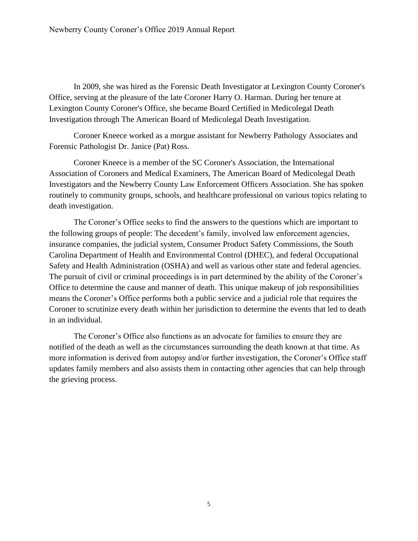In 2009, she was hired as the Forensic Death Investigator at Lexington County Coroner's Office, serving at the pleasure of the late Coroner Harry O. Harman. During her tenure at Lexington County Coroner's Office, she became Board Certified in Medicolegal Death Investigation through The American Board of Medicolegal Death Investigation.

Coroner Kneece worked as a morgue assistant for Newberry Pathology Associates and Forensic Pathologist Dr. Janice (Pat) Ross.

Coroner Kneece is a member of the SC Coroner's Association, the International Association of Coroners and Medical Examiners, The American Board of Medicolegal Death Investigators and the Newberry County Law Enforcement Officers Association. She has spoken routinely to community groups, schools, and healthcare professional on various topics relating to death investigation.

The Coroner's Office seeks to find the answers to the questions which are important to the following groups of people: The decedent's family, involved law enforcement agencies, insurance companies, the judicial system, Consumer Product Safety Commissions, the South Carolina Department of Health and Environmental Control (DHEC), and federal Occupational Safety and Health Administration (OSHA) and well as various other state and federal agencies. The pursuit of civil or criminal proceedings is in part determined by the ability of the Coroner's Office to determine the cause and manner of death. This unique makeup of job responsibilities means the Coroner's Office performs both a public service and a judicial role that requires the Coroner to scrutinize every death within her jurisdiction to determine the events that led to death in an individual.

The Coroner's Office also functions as an advocate for families to ensure they are notified of the death as well as the circumstances surrounding the death known at that time. As more information is derived from autopsy and/or further investigation, the Coroner's Office staff updates family members and also assists them in contacting other agencies that can help through the grieving process.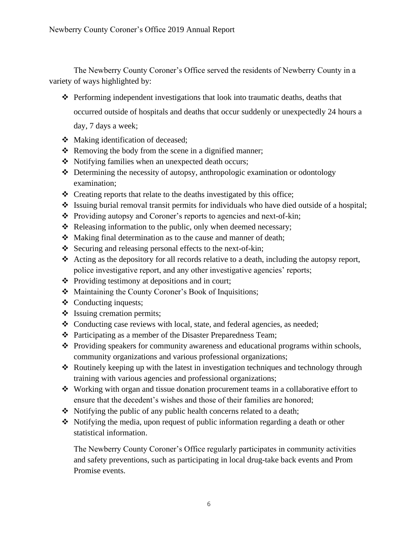The Newberry County Coroner's Office served the residents of Newberry County in a variety of ways highlighted by:

- ❖ Performing independent investigations that look into traumatic deaths, deaths that occurred outside of hospitals and deaths that occur suddenly or unexpectedly 24 hours a day, 7 days a week;
- ❖ Making identification of deceased;
- ❖ Removing the body from the scene in a dignified manner;
- ❖ Notifying families when an unexpected death occurs;
- ❖ Determining the necessity of autopsy, anthropologic examination or odontology examination;
- ❖ Creating reports that relate to the deaths investigated by this office;
- ❖ Issuing burial removal transit permits for individuals who have died outside of a hospital;
- ❖ Providing autopsy and Coroner's reports to agencies and next-of-kin;
- ❖ Releasing information to the public, only when deemed necessary;
- ❖ Making final determination as to the cause and manner of death;
- ❖ Securing and releasing personal effects to the next-of-kin;
- ❖ Acting as the depository for all records relative to a death, including the autopsy report, police investigative report, and any other investigative agencies' reports;
- ❖ Providing testimony at depositions and in court;
- ❖ Maintaining the County Coroner's Book of Inquisitions;
- ❖ Conducting inquests;
- ❖ Issuing cremation permits;
- ❖ Conducting case reviews with local, state, and federal agencies, as needed;
- ❖ Participating as a member of the Disaster Preparedness Team;
- ❖ Providing speakers for community awareness and educational programs within schools, community organizations and various professional organizations;
- ❖ Routinely keeping up with the latest in investigation techniques and technology through training with various agencies and professional organizations;
- ❖ Working with organ and tissue donation procurement teams in a collaborative effort to ensure that the decedent's wishes and those of their families are honored;
- ❖ Notifying the public of any public health concerns related to a death;
- ❖ Notifying the media, upon request of public information regarding a death or other statistical information.

The Newberry County Coroner's Office regularly participates in community activities and safety preventions, such as participating in local drug-take back events and Prom Promise events.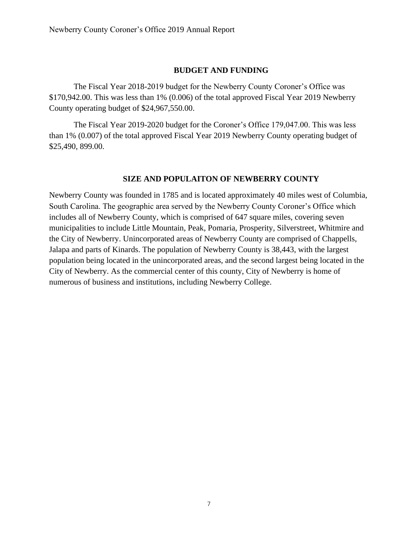#### **BUDGET AND FUNDING**

The Fiscal Year 2018-2019 budget for the Newberry County Coroner's Office was \$170,942.00. This was less than 1% (0.006) of the total approved Fiscal Year 2019 Newberry County operating budget of \$24,967,550.00.

The Fiscal Year 2019-2020 budget for the Coroner's Office 179,047.00. This was less than 1% (0.007) of the total approved Fiscal Year 2019 Newberry County operating budget of \$25,490, 899.00.

#### **SIZE AND POPULAITON OF NEWBERRY COUNTY**

Newberry County was founded in 1785 and is located approximately 40 miles west of Columbia, South Carolina. The geographic area served by the Newberry County Coroner's Office which includes all of Newberry County, which is comprised of 647 square miles, covering seven municipalities to include Little Mountain, Peak, Pomaria, Prosperity, Silverstreet, Whitmire and the City of Newberry. Unincorporated areas of Newberry County are comprised of Chappells, Jalapa and parts of Kinards. The population of Newberry County is 38,443, with the largest population being located in the unincorporated areas, and the second largest being located in the City of Newberry. As the commercial center of this county, City of Newberry is home of numerous of business and institutions, including Newberry College.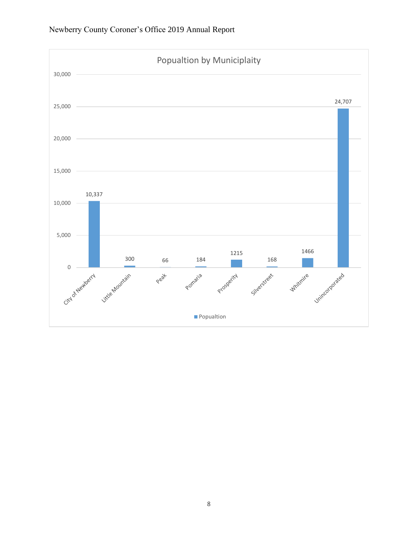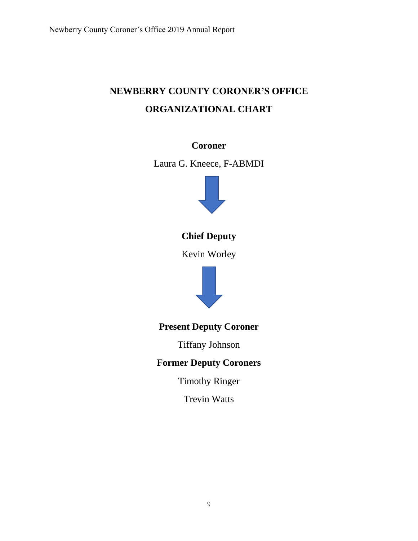### **NEWBERRY COUNTY CORONER'S OFFICE ORGANIZATIONAL CHART**

### **Coroner**

Laura G. Kneece, F-ABMDI



**Chief Deputy**

Kevin Worley



**Present Deputy Coroner** 

Tiffany Johnson

### **Former Deputy Coroners**

Timothy Ringer

Trevin Watts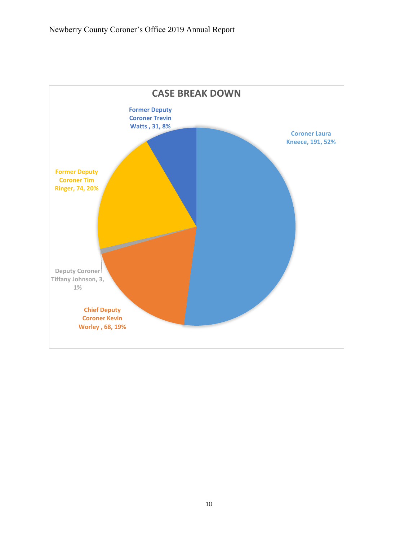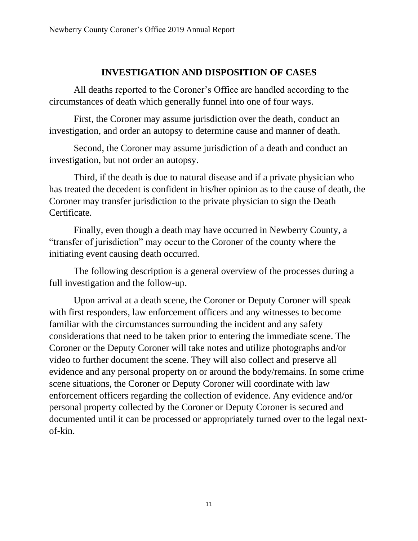### **INVESTIGATION AND DISPOSITION OF CASES**

All deaths reported to the Coroner's Office are handled according to the circumstances of death which generally funnel into one of four ways.

First, the Coroner may assume jurisdiction over the death, conduct an investigation, and order an autopsy to determine cause and manner of death.

Second, the Coroner may assume jurisdiction of a death and conduct an investigation, but not order an autopsy.

Third, if the death is due to natural disease and if a private physician who has treated the decedent is confident in his/her opinion as to the cause of death, the Coroner may transfer jurisdiction to the private physician to sign the Death Certificate.

Finally, even though a death may have occurred in Newberry County, a "transfer of jurisdiction" may occur to the Coroner of the county where the initiating event causing death occurred.

The following description is a general overview of the processes during a full investigation and the follow-up.

Upon arrival at a death scene, the Coroner or Deputy Coroner will speak with first responders, law enforcement officers and any witnesses to become familiar with the circumstances surrounding the incident and any safety considerations that need to be taken prior to entering the immediate scene. The Coroner or the Deputy Coroner will take notes and utilize photographs and/or video to further document the scene. They will also collect and preserve all evidence and any personal property on or around the body/remains. In some crime scene situations, the Coroner or Deputy Coroner will coordinate with law enforcement officers regarding the collection of evidence. Any evidence and/or personal property collected by the Coroner or Deputy Coroner is secured and documented until it can be processed or appropriately turned over to the legal nextof-kin.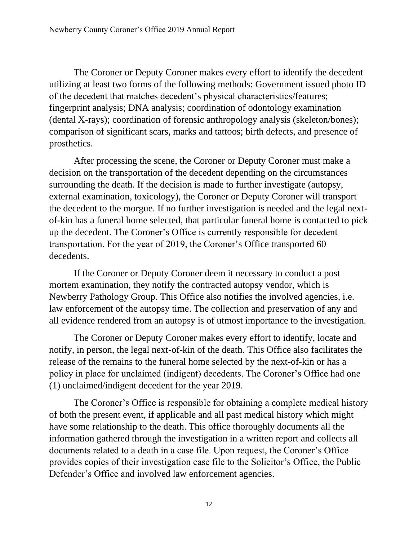The Coroner or Deputy Coroner makes every effort to identify the decedent utilizing at least two forms of the following methods: Government issued photo ID of the decedent that matches decedent's physical characteristics/features; fingerprint analysis; DNA analysis; coordination of odontology examination (dental X-rays); coordination of forensic anthropology analysis (skeleton/bones); comparison of significant scars, marks and tattoos; birth defects, and presence of prosthetics.

After processing the scene, the Coroner or Deputy Coroner must make a decision on the transportation of the decedent depending on the circumstances surrounding the death. If the decision is made to further investigate (autopsy, external examination, toxicology), the Coroner or Deputy Coroner will transport the decedent to the morgue. If no further investigation is needed and the legal nextof-kin has a funeral home selected, that particular funeral home is contacted to pick up the decedent. The Coroner's Office is currently responsible for decedent transportation. For the year of 2019, the Coroner's Office transported 60 decedents.

If the Coroner or Deputy Coroner deem it necessary to conduct a post mortem examination, they notify the contracted autopsy vendor, which is Newberry Pathology Group. This Office also notifies the involved agencies, i.e. law enforcement of the autopsy time. The collection and preservation of any and all evidence rendered from an autopsy is of utmost importance to the investigation.

The Coroner or Deputy Coroner makes every effort to identify, locate and notify, in person, the legal next-of-kin of the death. This Office also facilitates the release of the remains to the funeral home selected by the next-of-kin or has a policy in place for unclaimed (indigent) decedents. The Coroner's Office had one (1) unclaimed/indigent decedent for the year 2019.

The Coroner's Office is responsible for obtaining a complete medical history of both the present event, if applicable and all past medical history which might have some relationship to the death. This office thoroughly documents all the information gathered through the investigation in a written report and collects all documents related to a death in a case file. Upon request, the Coroner's Office provides copies of their investigation case file to the Solicitor's Office, the Public Defender's Office and involved law enforcement agencies.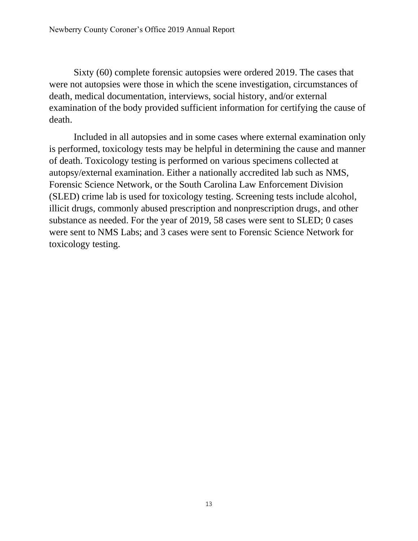Sixty (60) complete forensic autopsies were ordered 2019. The cases that were not autopsies were those in which the scene investigation, circumstances of death, medical documentation, interviews, social history, and/or external examination of the body provided sufficient information for certifying the cause of death.

Included in all autopsies and in some cases where external examination only is performed, toxicology tests may be helpful in determining the cause and manner of death. Toxicology testing is performed on various specimens collected at autopsy/external examination. Either a nationally accredited lab such as NMS, Forensic Science Network, or the South Carolina Law Enforcement Division (SLED) crime lab is used for toxicology testing. Screening tests include alcohol, illicit drugs, commonly abused prescription and nonprescription drugs, and other substance as needed. For the year of 2019, 58 cases were sent to SLED; 0 cases were sent to NMS Labs; and 3 cases were sent to Forensic Science Network for toxicology testing.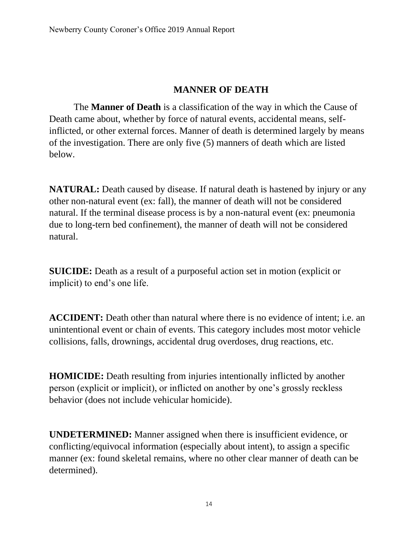### **MANNER OF DEATH**

The **Manner of Death** is a classification of the way in which the Cause of Death came about, whether by force of natural events, accidental means, selfinflicted, or other external forces. Manner of death is determined largely by means of the investigation. There are only five (5) manners of death which are listed below.

**NATURAL:** Death caused by disease. If natural death is hastened by injury or any other non-natural event (ex: fall), the manner of death will not be considered natural. If the terminal disease process is by a non-natural event (ex: pneumonia due to long-tern bed confinement), the manner of death will not be considered natural.

**SUICIDE:** Death as a result of a purposeful action set in motion (explicit or implicit) to end's one life.

**ACCIDENT:** Death other than natural where there is no evidence of intent; i.e. an unintentional event or chain of events. This category includes most motor vehicle collisions, falls, drownings, accidental drug overdoses, drug reactions, etc.

**HOMICIDE:** Death resulting from injuries intentionally inflicted by another person (explicit or implicit), or inflicted on another by one's grossly reckless behavior (does not include vehicular homicide).

**UNDETERMINED:** Manner assigned when there is insufficient evidence, or conflicting/equivocal information (especially about intent), to assign a specific manner (ex: found skeletal remains, where no other clear manner of death can be determined).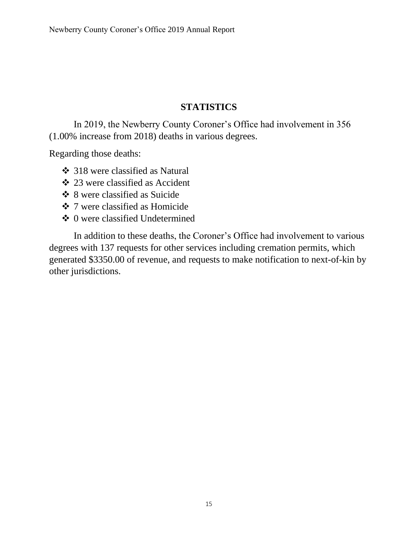### **STATISTICS**

In 2019, the Newberry County Coroner's Office had involvement in 356 (1.00% increase from 2018) deaths in various degrees.

Regarding those deaths:

- ❖ 318 were classified as Natural
- ❖ 23 were classified as Accident
- ❖ 8 were classified as Suicide
- ❖ 7 were classified as Homicide
- ❖ 0 were classified Undetermined

In addition to these deaths, the Coroner's Office had involvement to various degrees with 137 requests for other services including cremation permits, which generated \$3350.00 of revenue, and requests to make notification to next-of-kin by other jurisdictions.